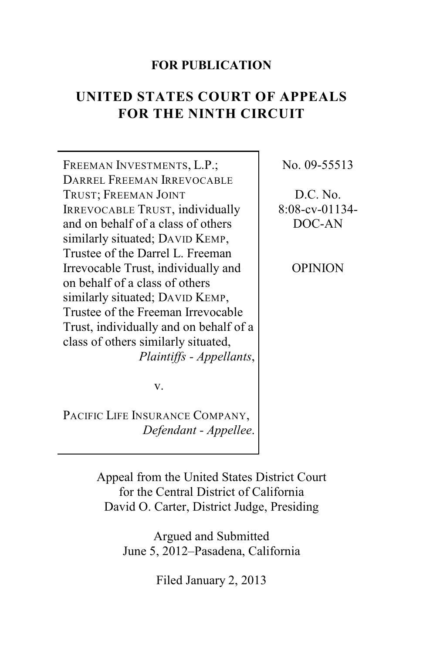#### **FOR PUBLICATION**

# **UNITED STATES COURT OF APPEALS FOR THE NINTH CIRCUIT**

FREEMAN INVESTMENTS, L.P.; DARREL FREEMAN IRREVOCABLE TRUST; FREEMAN JOINT IRREVOCABLE TRUST, individually and on behalf of a class of others similarly situated; DAVID KEMP, Trustee of the Darrel L. Freeman Irrevocable Trust, individually and on behalf of a class of others similarly situated; DAVID KEMP, Trustee of the Freeman Irrevocable Trust, individually and on behalf of a class of others similarly situated, *Plaintiffs - Appellants*,

No. 09-55513

D.C. No. 8:08-cv-01134- DOC-AN

OPINION

v.

PACIFIC LIFE INSURANCE COMPANY, *Defendant - Appellee*.

> Appeal from the United States District Court for the Central District of California David O. Carter, District Judge, Presiding

> > Argued and Submitted June 5, 2012–Pasadena, California

> > > Filed January 2, 2013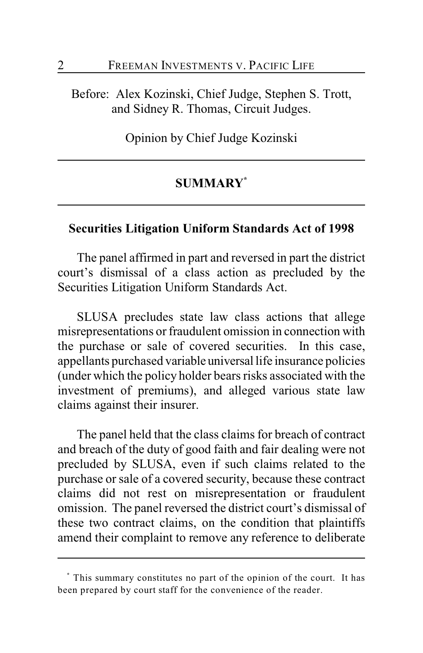Before: Alex Kozinski, Chief Judge, Stephen S. Trott, and Sidney R. Thomas, Circuit Judges.

Opinion by Chief Judge Kozinski

#### **SUMMARY \***

#### **Securities Litigation Uniform Standards Act of 1998**

The panel affirmed in part and reversed in part the district court's dismissal of a class action as precluded by the Securities Litigation Uniform Standards Act.

SLUSA precludes state law class actions that allege misrepresentations or fraudulent omission in connection with the purchase or sale of covered securities. In this case, appellants purchased variable universal life insurance policies (under which the policy holder bears risks associated with the investment of premiums), and alleged various state law claims against their insurer.

The panel held that the class claims for breach of contract and breach of the duty of good faith and fair dealing were not precluded by SLUSA, even if such claims related to the purchase or sale of a covered security, because these contract claims did not rest on misrepresentation or fraudulent omission. The panel reversed the district court's dismissal of these two contract claims, on the condition that plaintiffs amend their complaint to remove any reference to deliberate

This summary constitutes no part of the opinion of the court. It has **\*** been prepared by court staff for the convenience of the reader.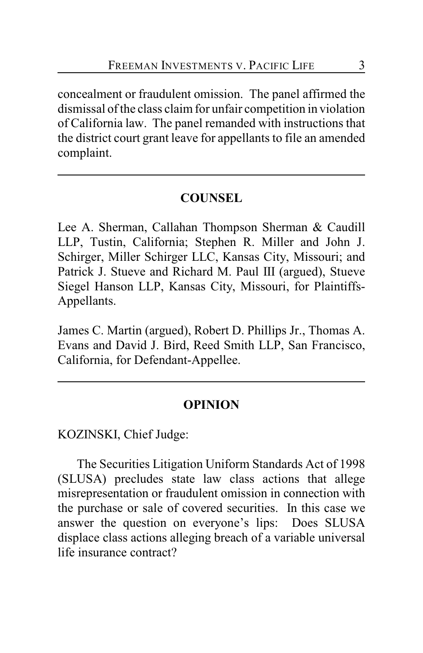concealment or fraudulent omission. The panel affirmed the dismissal of the class claim for unfair competition in violation of California law. The panel remanded with instructions that the district court grant leave for appellants to file an amended complaint.

### **COUNSEL**

Lee A. Sherman, Callahan Thompson Sherman & Caudill LLP, Tustin, California; Stephen R. Miller and John J. Schirger, Miller Schirger LLC, Kansas City, Missouri; and Patrick J. Stueve and Richard M. Paul III (argued), Stueve Siegel Hanson LLP, Kansas City, Missouri, for Plaintiffs-Appellants.

James C. Martin (argued), Robert D. Phillips Jr., Thomas A. Evans and David J. Bird, Reed Smith LLP, San Francisco, California, for Defendant-Appellee.

#### **OPINION**

KOZINSKI, Chief Judge:

The Securities Litigation Uniform Standards Act of 1998 (SLUSA) precludes state law class actions that allege misrepresentation or fraudulent omission in connection with the purchase or sale of covered securities. In this case we answer the question on everyone's lips: Does SLUSA displace class actions alleging breach of a variable universal life insurance contract?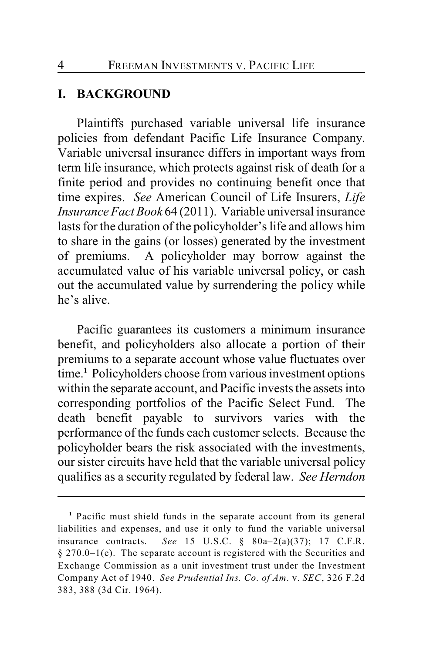#### **I. BACKGROUND**

Plaintiffs purchased variable universal life insurance policies from defendant Pacific Life Insurance Company. Variable universal insurance differs in important ways from term life insurance, which protects against risk of death for a finite period and provides no continuing benefit once that time expires. *See* American Council of Life Insurers, *Life Insurance Fact Book* 64 (2011). Variable universal insurance lasts for the duration of the policyholder's life and allows him to share in the gains (or losses) generated by the investment of premiums. A policyholder may borrow against the accumulated value of his variable universal policy, or cash out the accumulated value by surrendering the policy while he's alive.

Pacific guarantees its customers a minimum insurance benefit, and policyholders also allocate a portion of their premiums to a separate account whose value fluctuates over time.<sup>1</sup> Policyholders choose from various investment options within the separate account, and Pacific invests the assets into corresponding portfolios of the Pacific Select Fund. The death benefit payable to survivors varies with the performance of the funds each customer selects. Because the policyholder bears the risk associated with the investments, our sister circuits have held that the variable universal policy qualifies as a security regulated by federal law. *See Herndon*

<sup>&</sup>lt;sup>1</sup> Pacific must shield funds in the separate account from its general liabilities and expenses, and use it only to fund the variable universal insurance contracts. *See* 15 U.S.C. § 80a–2(a)(37); 17 C.F.R. § 270.0–1(e). The separate account is registered with the Securities and Exchange Commission as a unit investment trust under the Investment Company Act of 1940. *See Prudential Ins. Co. of Am.* v. *SEC*, 326 F.2d 383, 388 (3d Cir. 1964).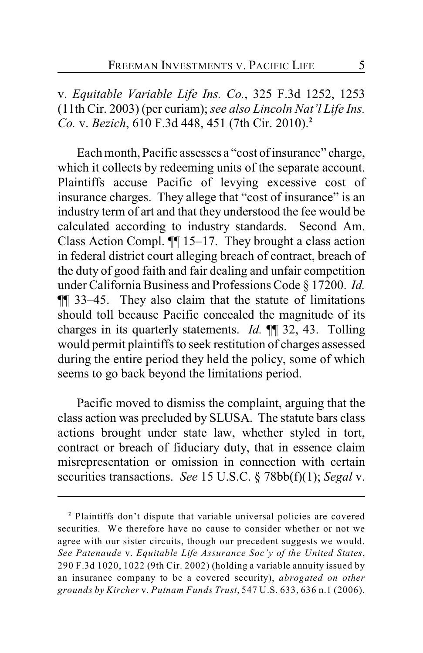v. *Equitable Variable Life Ins. Co.*, 325 F.3d 1252, 1253 (11th Cir. 2003) (per curiam); *see also Lincoln Nat'l Life Ins. Co.* v. *Bezich*, 610 F.3d 448, 451 (7th Cir. 2010).**<sup>2</sup>**

Each month, Pacific assesses a "cost of insurance" charge, which it collects by redeeming units of the separate account. Plaintiffs accuse Pacific of levying excessive cost of insurance charges. They allege that "cost of insurance" is an industry term of art and that they understood the fee would be calculated according to industry standards. Second Am. Class Action Compl. ¶¶ 15–17. They brought a class action in federal district court alleging breach of contract, breach of the duty of good faith and fair dealing and unfair competition under California Business and Professions Code § 17200. *Id.* ¶¶ 33–45. They also claim that the statute of limitations should toll because Pacific concealed the magnitude of its charges in its quarterly statements. *Id.* ¶¶ 32, 43. Tolling would permit plaintiffs to seek restitution of charges assessed during the entire period they held the policy, some of which seems to go back beyond the limitations period.

Pacific moved to dismiss the complaint, arguing that the class action was precluded by SLUSA. The statute bars class actions brought under state law, whether styled in tort, contract or breach of fiduciary duty, that in essence claim misrepresentation or omission in connection with certain securities transactions. *See* 15 U.S.C. § 78bb(f)(1); *Segal* v.

Plaintiffs don't dispute that variable universal policies are covered **<sup>2</sup>** securities. We therefore have no cause to consider whether or not we agree with our sister circuits, though our precedent suggests we would. *See Patenaude* v. *Equitable Life Assurance Soc'y of the United States*, 290 F.3d 1020, 1022 (9th Cir. 2002) (holding a variable annuity issued by an insurance company to be a covered security), *abrogated on other grounds by Kircher* v. *Putnam Funds Trust*, 547 U.S. 633, 636 n.1 (2006).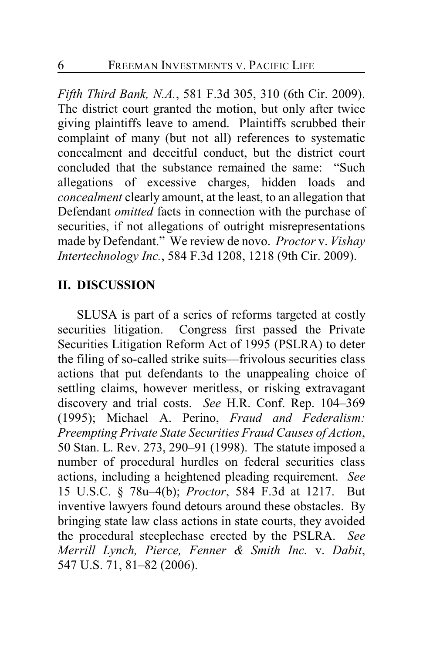*Fifth Third Bank, N.A.*, 581 F.3d 305, 310 (6th Cir. 2009). The district court granted the motion, but only after twice giving plaintiffs leave to amend. Plaintiffs scrubbed their complaint of many (but not all) references to systematic concealment and deceitful conduct, but the district court concluded that the substance remained the same: "Such allegations of excessive charges, hidden loads and *concealment* clearly amount, at the least, to an allegation that Defendant *omitted* facts in connection with the purchase of securities, if not allegations of outright misrepresentations made by Defendant." We review de novo. *Proctor* v. *Vishay Intertechnology Inc.*, 584 F.3d 1208, 1218 (9th Cir. 2009).

#### **II. DISCUSSION**

SLUSA is part of a series of reforms targeted at costly securities litigation. Congress first passed the Private Securities Litigation Reform Act of 1995 (PSLRA) to deter the filing of so-called strike suits—frivolous securities class actions that put defendants to the unappealing choice of settling claims, however meritless, or risking extravagant discovery and trial costs. *See* H.R. Conf. Rep. 104–369 (1995); Michael A. Perino, *Fraud and Federalism: Preempting Private State Securities Fraud Causes of Action*, 50 Stan. L. Rev. 273, 290–91 (1998). The statute imposed a number of procedural hurdles on federal securities class actions, including a heightened pleading requirement. *See* 15 U.S.C. § 78u–4(b); *Proctor*, 584 F.3d at 1217. But inventive lawyers found detours around these obstacles. By bringing state law class actions in state courts, they avoided the procedural steeplechase erected by the PSLRA. *See Merrill Lynch, Pierce, Fenner & Smith Inc.* v. *Dabit*, 547 U.S. 71, 81–82 (2006).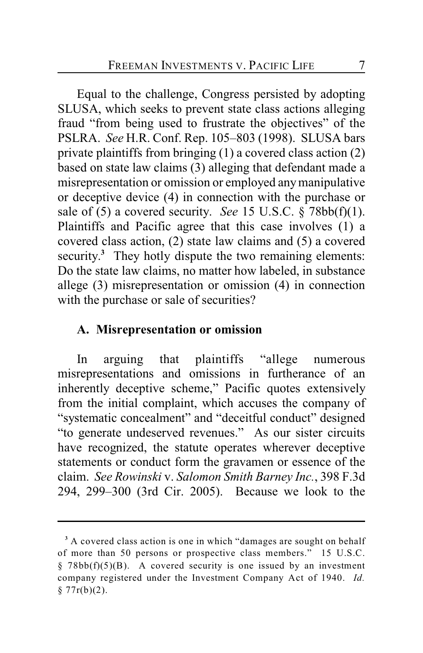Equal to the challenge, Congress persisted by adopting SLUSA, which seeks to prevent state class actions alleging fraud "from being used to frustrate the objectives" of the PSLRA. *See* H.R. Conf. Rep. 105–803 (1998). SLUSA bars private plaintiffs from bringing (1) a covered class action (2) based on state law claims (3) alleging that defendant made a misrepresentation or omission or employed any manipulative or deceptive device (4) in connection with the purchase or sale of (5) a covered security. *See* 15 U.S.C. § 78bb(f)(1). Plaintiffs and Pacific agree that this case involves (1) a covered class action, (2) state law claims and (5) a covered security.<sup>3</sup> They hotly dispute the two remaining elements: Do the state law claims, no matter how labeled, in substance allege (3) misrepresentation or omission (4) in connection with the purchase or sale of securities?

#### **A. Misrepresentation or omission**

In arguing that plaintiffs "allege numerous misrepresentations and omissions in furtherance of an inherently deceptive scheme," Pacific quotes extensively from the initial complaint, which accuses the company of "systematic concealment" and "deceitful conduct" designed "to generate undeserved revenues." As our sister circuits have recognized, the statute operates wherever deceptive statements or conduct form the gravamen or essence of the claim. *See Rowinski* v. *Salomon Smith Barney Inc.*, 398 F.3d 294, 299–300 (3rd Cir. 2005). Because we look to the

<sup>&</sup>lt;sup>3</sup> A covered class action is one in which "damages are sought on behalf of more than 50 persons or prospective class members." 15 U.S.C.  $§ 78bb(f)(5)(B)$ . A covered security is one issued by an investment company registered under the Investment Company Act of 1940. *Id.*  $§ 77r(b)(2).$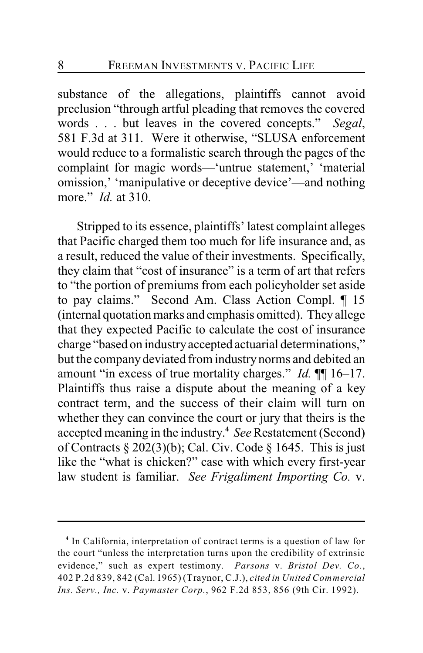substance of the allegations, plaintiffs cannot avoid preclusion "through artful pleading that removes the covered words . . . but leaves in the covered concepts." *Segal*, 581 F.3d at 311. Were it otherwise, "SLUSA enforcement would reduce to a formalistic search through the pages of the complaint for magic words—'untrue statement,' 'material omission,' 'manipulative or deceptive device'—and nothing more." *Id.* at 310.

Stripped to its essence, plaintiffs' latest complaint alleges that Pacific charged them too much for life insurance and, as a result, reduced the value of their investments. Specifically, they claim that "cost of insurance" is a term of art that refers to "the portion of premiums from each policyholder set aside to pay claims." Second Am. Class Action Compl. ¶ 15 (internal quotation marks and emphasis omitted). They allege that they expected Pacific to calculate the cost of insurance charge "based on industry accepted actuarial determinations," but the companydeviated from industry norms and debited an amount "in excess of true mortality charges." *Id.* ¶¶ 16–17. Plaintiffs thus raise a dispute about the meaning of a key contract term, and the success of their claim will turn on whether they can convince the court or jury that theirs is the accepted meaning in the industry. *See* Restatement (Second) **<sup>4</sup>** of Contracts § 202(3)(b); Cal. Civ. Code § 1645. This is just like the "what is chicken?" case with which every first-year law student is familiar. *See Frigaliment Importing Co.* v.

<sup>&</sup>lt;sup>4</sup> In California, interpretation of contract terms is a question of law for the court "unless the interpretation turns upon the credibility of extrinsic evidence," such as expert testimony. *Parsons* v. *Bristol Dev. Co.*, 402 P.2d 839, 842 (Cal. 1965) (Traynor, C.J.), *cited in United Commercial Ins. Serv., Inc.* v. *Paymaster Corp.*, 962 F.2d 853, 856 (9th Cir. 1992).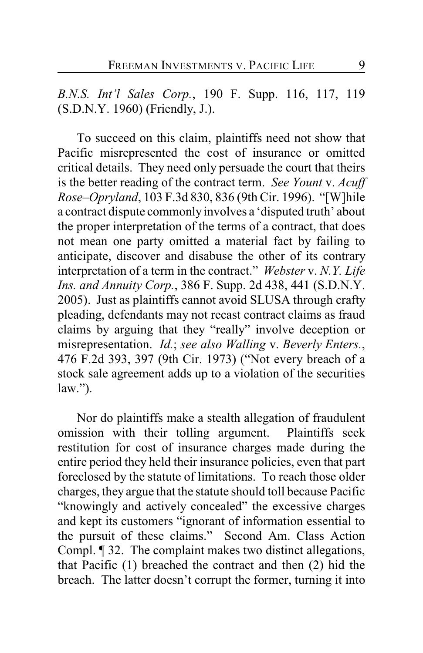*B.N.S. Int'l Sales Corp.*, 190 F. Supp. 116, 117, 119 (S.D.N.Y. 1960) (Friendly, J.).

To succeed on this claim, plaintiffs need not show that Pacific misrepresented the cost of insurance or omitted critical details. They need only persuade the court that theirs is the better reading of the contract term. *See Yount* v. *Acuff Rose–Opryland*, 103 F.3d 830, 836 (9th Cir. 1996). "[W]hile a contract dispute commonlyinvolves a 'disputed truth' about the proper interpretation of the terms of a contract, that does not mean one party omitted a material fact by failing to anticipate, discover and disabuse the other of its contrary interpretation of a term in the contract." *Webster* v. *N.Y. Life Ins. and Annuity Corp.*, 386 F. Supp. 2d 438, 441 (S.D.N.Y. 2005). Just as plaintiffs cannot avoid SLUSA through crafty pleading, defendants may not recast contract claims as fraud claims by arguing that they "really" involve deception or misrepresentation. *Id.*; *see also Walling* v. *Beverly Enters.*, 476 F.2d 393, 397 (9th Cir. 1973) ("Not every breach of a stock sale agreement adds up to a violation of the securities  $law.'$ ).

Nor do plaintiffs make a stealth allegation of fraudulent omission with their tolling argument. Plaintiffs seek restitution for cost of insurance charges made during the entire period they held their insurance policies, even that part foreclosed by the statute of limitations. To reach those older charges, they argue that the statute should toll because Pacific "knowingly and actively concealed" the excessive charges and kept its customers "ignorant of information essential to the pursuit of these claims." Second Am. Class Action Compl. ¶ 32. The complaint makes two distinct allegations, that Pacific (1) breached the contract and then (2) hid the breach. The latter doesn't corrupt the former, turning it into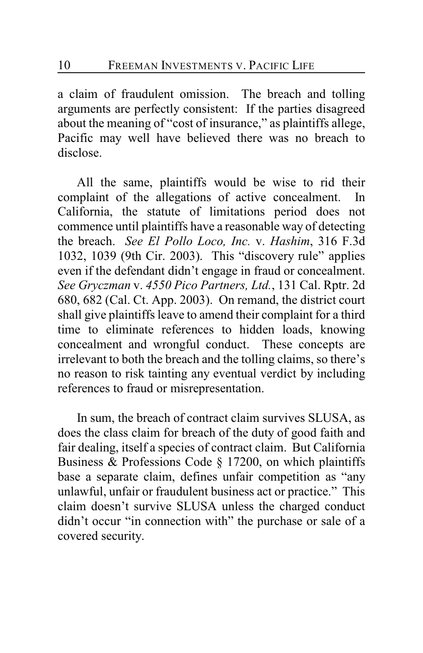a claim of fraudulent omission. The breach and tolling arguments are perfectly consistent: If the parties disagreed about the meaning of "cost of insurance," as plaintiffs allege, Pacific may well have believed there was no breach to disclose.

All the same, plaintiffs would be wise to rid their complaint of the allegations of active concealment. In California, the statute of limitations period does not commence until plaintiffs have a reasonable way of detecting the breach. *See El Pollo Loco, Inc.* v. *Hashim*, 316 F.3d 1032, 1039 (9th Cir. 2003). This "discovery rule" applies even if the defendant didn't engage in fraud or concealment. *See Gryczman* v. *4550 Pico Partners, Ltd.*, 131 Cal. Rptr. 2d 680, 682 (Cal. Ct. App. 2003). On remand, the district court shall give plaintiffs leave to amend their complaint for a third time to eliminate references to hidden loads, knowing concealment and wrongful conduct. These concepts are irrelevant to both the breach and the tolling claims, so there's no reason to risk tainting any eventual verdict by including references to fraud or misrepresentation.

In sum, the breach of contract claim survives SLUSA, as does the class claim for breach of the duty of good faith and fair dealing, itself a species of contract claim. But California Business & Professions Code § 17200, on which plaintiffs base a separate claim, defines unfair competition as "any unlawful, unfair or fraudulent business act or practice." This claim doesn't survive SLUSA unless the charged conduct didn't occur "in connection with" the purchase or sale of a covered security.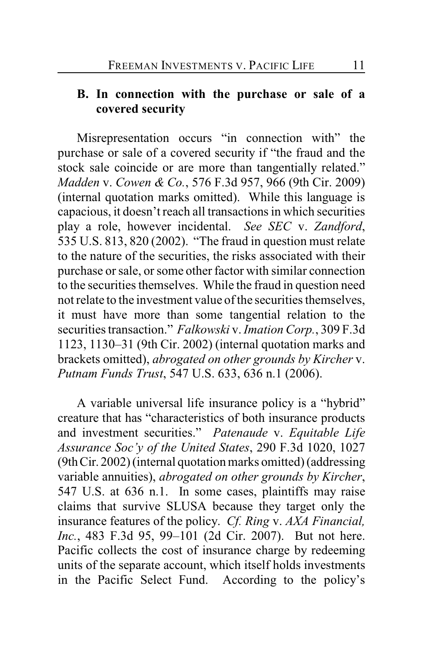### **B. In connection with the purchase or sale of a covered security**

Misrepresentation occurs "in connection with" the purchase or sale of a covered security if "the fraud and the stock sale coincide or are more than tangentially related." *Madden* v. *Cowen & Co.*, 576 F.3d 957, 966 (9th Cir. 2009) (internal quotation marks omitted). While this language is capacious, it doesn't reach all transactions in which securities play a role, however incidental. *See SEC* v. *Zandford*, 535 U.S. 813, 820 (2002). "The fraud in question must relate to the nature of the securities, the risks associated with their purchase or sale, or some other factor with similar connection to the securities themselves. While the fraud in question need not relate to the investment value of the securities themselves, it must have more than some tangential relation to the securities transaction." *Falkowski* v. *Imation Corp.*, 309 F.3d 1123, 1130–31 (9th Cir. 2002) (internal quotation marks and brackets omitted), *abrogated on other grounds by Kircher* v. *Putnam Funds Trust*, 547 U.S. 633, 636 n.1 (2006).

A variable universal life insurance policy is a "hybrid" creature that has "characteristics of both insurance products and investment securities." *Patenaude* v. *Equitable Life Assurance Soc'y of the United States*, 290 F.3d 1020, 1027 (9th Cir. 2002) (internal quotation marks omitted) (addressing variable annuities), *abrogated on other grounds by Kircher*, 547 U.S. at 636 n.1. In some cases, plaintiffs may raise claims that survive SLUSA because they target only the insurance features of the policy. *Cf. Ring* v. *AXA Financial, Inc.*, 483 F.3d 95, 99–101 (2d Cir. 2007). But not here. Pacific collects the cost of insurance charge by redeeming units of the separate account, which itself holds investments in the Pacific Select Fund. According to the policy's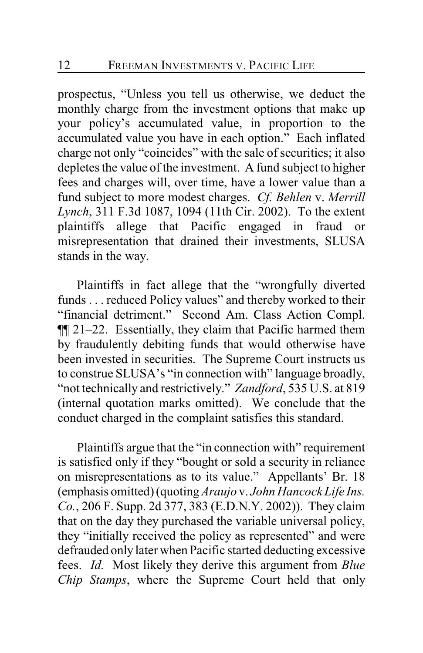prospectus, "Unless you tell us otherwise, we deduct the monthly charge from the investment options that make up your policy's accumulated value, in proportion to the accumulated value you have in each option." Each inflated charge not only "coincides" with the sale of securities; it also depletes the value of the investment. A fund subject to higher fees and charges will, over time, have a lower value than a fund subject to more modest charges. *Cf. Behlen* v. *Merrill Lynch*, 311 F.3d 1087, 1094 (11th Cir. 2002). To the extent plaintiffs allege that Pacific engaged in fraud or misrepresentation that drained their investments, SLUSA stands in the way.

Plaintiffs in fact allege that the "wrongfully diverted funds . . . reduced Policy values" and thereby worked to their "financial detriment." Second Am. Class Action Compl. ¶¶ 21–22. Essentially, they claim that Pacific harmed them by fraudulently debiting funds that would otherwise have been invested in securities. The Supreme Court instructs us to construe SLUSA's "in connection with" language broadly, "not technically and restrictively." *Zandford*, 535 U.S. at 819 (internal quotation marks omitted). We conclude that the conduct charged in the complaint satisfies this standard.

Plaintiffs argue that the "in connection with" requirement is satisfied only if they "bought or sold a security in reliance on misrepresentations as to its value." Appellants' Br. 18 (emphasis omitted) (quoting *Araujo* v. *John Hancock Life Ins. Co.*, 206 F. Supp. 2d 377, 383 (E.D.N.Y. 2002)). They claim that on the day they purchased the variable universal policy, they "initially received the policy as represented" and were defrauded only later when Pacific started deducting excessive fees. *Id.* Most likely they derive this argument from *Blue Chip Stamps*, where the Supreme Court held that only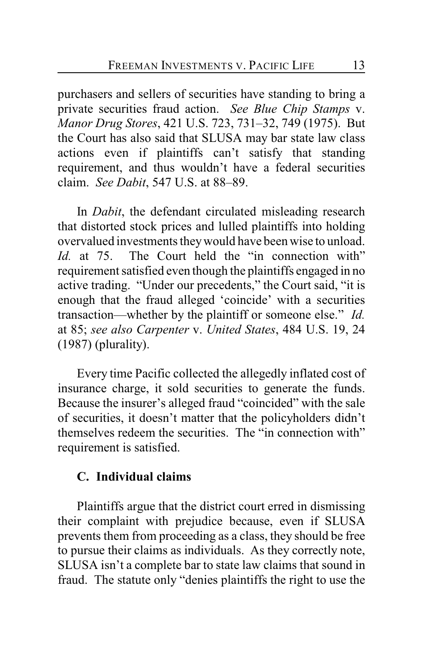purchasers and sellers of securities have standing to bring a private securities fraud action. *See Blue Chip Stamps* v. *Manor Drug Stores*, 421 U.S. 723, 731–32, 749 (1975). But the Court has also said that SLUSA may bar state law class actions even if plaintiffs can't satisfy that standing requirement, and thus wouldn't have a federal securities claim. *See Dabit*, 547 U.S. at 88–89.

In *Dabit*, the defendant circulated misleading research that distorted stock prices and lulled plaintiffs into holding overvalued investments theywould have been wise to unload. *Id.* at 75. The Court held the "in connection with" requirement satisfied even though the plaintiffs engaged in no active trading. "Under our precedents," the Court said, "it is enough that the fraud alleged 'coincide' with a securities transaction—whether by the plaintiff or someone else." *Id.* at 85; *see also Carpenter* v. *United States*, 484 U.S. 19, 24 (1987) (plurality).

Every time Pacific collected the allegedly inflated cost of insurance charge, it sold securities to generate the funds. Because the insurer's alleged fraud "coincided" with the sale of securities, it doesn't matter that the policyholders didn't themselves redeem the securities. The "in connection with" requirement is satisfied.

#### **C. Individual claims**

Plaintiffs argue that the district court erred in dismissing their complaint with prejudice because, even if SLUSA prevents them from proceeding as a class, they should be free to pursue their claims as individuals. As they correctly note, SLUSA isn't a complete bar to state law claims that sound in fraud. The statute only "denies plaintiffs the right to use the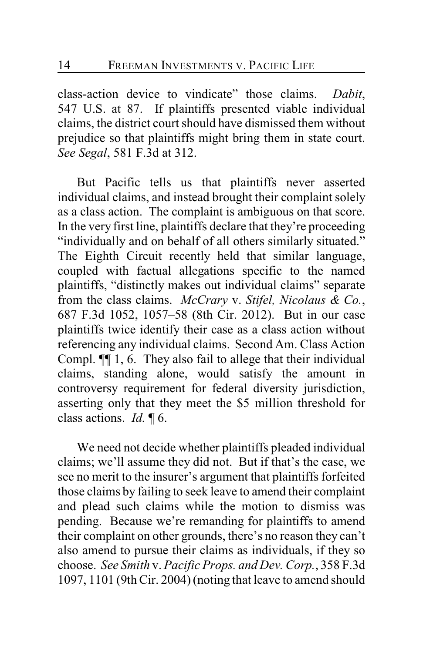class-action device to vindicate" those claims. *Dabit*, 547 U.S. at 87. If plaintiffs presented viable individual claims, the district court should have dismissed them without prejudice so that plaintiffs might bring them in state court. *See Segal*, 581 F.3d at 312.

But Pacific tells us that plaintiffs never asserted individual claims, and instead brought their complaint solely as a class action. The complaint is ambiguous on that score. In the very first line, plaintiffs declare that they're proceeding "individually and on behalf of all others similarly situated." The Eighth Circuit recently held that similar language, coupled with factual allegations specific to the named plaintiffs, "distinctly makes out individual claims" separate from the class claims. *McCrary* v. *Stifel, Nicolaus & Co.*, 687 F.3d 1052, 1057–58 (8th Cir. 2012). But in our case plaintiffs twice identify their case as a class action without referencing any individual claims. Second Am. Class Action Compl. ¶¶ 1, 6. They also fail to allege that their individual claims, standing alone, would satisfy the amount in controversy requirement for federal diversity jurisdiction, asserting only that they meet the \$5 million threshold for class actions. *Id.* ¶ 6.

We need not decide whether plaintiffs pleaded individual claims; we'll assume they did not. But if that's the case, we see no merit to the insurer's argument that plaintiffs forfeited those claims by failing to seek leave to amend their complaint and plead such claims while the motion to dismiss was pending. Because we're remanding for plaintiffs to amend their complaint on other grounds, there's no reason they can't also amend to pursue their claims as individuals, if they so choose. *See Smith* v. *Pacific Props. and Dev. Corp.*, 358 F.3d 1097, 1101 (9th Cir. 2004) (noting that leave to amend should